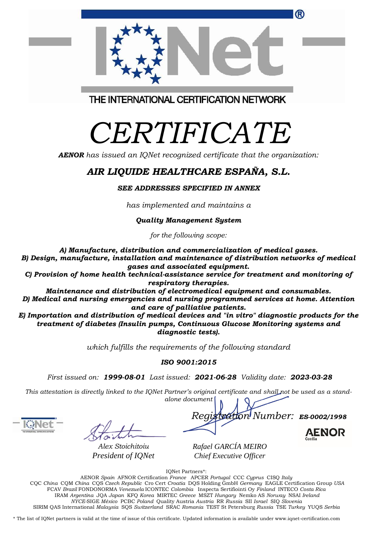| IONet Partners*:                                                                                               |
|----------------------------------------------------------------------------------------------------------------|
| AENOR Spain AFNOR Certification France APCER Portugal CCC Cuprus CISO Italy                                    |
| COC China COM China COS Czech Republic Cro Cert Croatia DOS Holding GmbH Germany EAGLE Certification Group USA |
| FCAV Brazil FONDONORMA Venezuela ICONTEC Colombia Inspecta Sertifiointi Oy Finland INTECO Costa Rica           |
| IRAM Argentina JOA Japan KFO Korea MIRTEC Greece MSZT Hungary Nemko AS Norway NSAI Ireland                     |

*NYCE-*SIGE *México* PCBC *Poland* Quality Austria *Austria* RR *Russia* SII *Israel* SIQ *Slovenia*  SIRIM QAS International *Malaysia* SQS *Switzerland* SRAC *Romania* TEST St Petersburg *Russia* TSE *Turkey* YUQS *Serbia*

\* The list of IQNet partners is valid at the time of issue of this certificate. Updated information is available under www.iqnet-certification.com

THE INTERNATIONAL CERTIFICATION NETWORK

## *CERTIFICATE*

*AENOR has issued an IQNet recognized certificate that the organization:*

## *AIR LIQUIDE HEALTHCARE ESPAÑA, S.L.*

*SEE ADDRESSES SPECIFIED IN ANNEX*

*has implemented and maintains a*

*Quality Management System*

*for the following scope:* 

*A) Manufacture, distribution and commercialization of medical gases. B) Design, manufacture, installation and maintenance of distribution networks of medical gases and associated equipment.*

*C) Provision of home health technical-assistance service for treatment and monitoring of respiratory therapies.*

*Maintenance and distribution of electromedical equipment and consumables. D) Medical and nursing emergencies and nursing programmed services at home. Attention* 

*and care of palliative patients.*

*E) Importation and distribution of medical devices and "in vitro" diagnostic products for the treatment of diabetes (Insulin pumps, Continuous Glucose Monitoring systems and diagnostic tests).*

*which fulfills the requirements of the following standard*

## *ISO 9001:2015*

*First issued on: 1999-08-01 Last issued: 2021-06-28 Validity date: 2023-03-28*

This attestation is directly linked to the IQNet Partner's original certificate and shall not be used as a stand*alone document*

*Alex Stoichitoiu President of IQNet*

*Rafael GARCÍA MEIRO Chief Executive Officer*



*Registration Number: ES-0002/1998*

63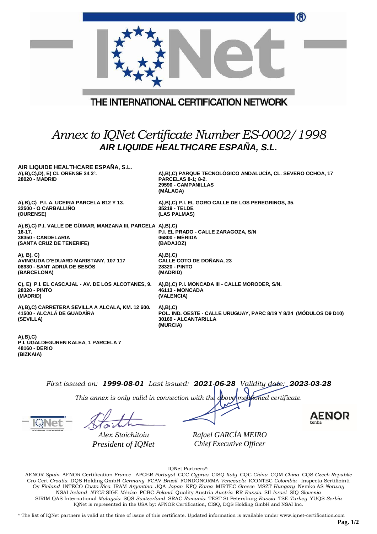| ®<br>THE INTERNATIONAL CERTIFICATION NETWORK                                                                                 |                                                                                                                               |  |
|------------------------------------------------------------------------------------------------------------------------------|-------------------------------------------------------------------------------------------------------------------------------|--|
| Annex to IQNet Certificate Number ES-0002/1998<br>AIR LIQUIDE HEALTHCARE ESPAÑA, S.L.                                        |                                                                                                                               |  |
| AIR LIQUIDE HEALTHCARE ESPAÑA, S.L.<br>A), B), C), D), E) CL ORENSE 34 3º.<br>28020 - MADRID                                 | A), B), C) PARQUE TECNOLÓGICO ANDALUCÍA, CL. SEVERO OCHOA, 17<br><b>PARCELAS 8-1; 8-2.</b><br>29590 - CAMPANILLAS<br>(MALAGA) |  |
| A), B), C) P.I. A. UCEIRA PARCELA B12 Y 13.<br>32500 - O CARBALLINO<br>(OURENSE)                                             | A), B), C) P.I. EL GORO CALLE DE LOS PEREGRINOS, 35.<br>35219 - TELDE<br>(LAS PALMAS)                                         |  |
| A), B), C) P.I. VALLE DE GÜIMAR, MANZANA III, PARCELA A), B), C)<br>16-17.<br>38350 - CANDELARIA<br>(SANTA CRUZ DE TENERIFE) | P.I. EL PRADO - CALLE ZARAGOZA, S/N<br>06800 - MÉRIDA<br>(BADAJOZ)                                                            |  |
| A), B), C)<br>AVINGUDA D'EDUARD MARISTANY, 107 117<br>08930 - SANT ADRIA DE BESOS<br>(BARCELONA)                             | A),B),C)<br><b>CALLE COTO DE DOÑANA, 23</b><br>28320 - PINTO<br>(MADRID)                                                      |  |
| C), E) P.I. EL CASCAJAL - AV. DE LOS ALCOTANES, 9.<br>28320 - PINTO<br>(MADRID)                                              | A), B), C) P.I. MONCADA III - CALLE MORODER, S/N.<br>46113 - MONCADA<br>(VALENCIA)                                            |  |
| A), B), C) CARRETERA SEVILLA A ALCALA, KM. 12 600.<br>41500 - ALCALÁ DE GUADAÍRA<br>(SEVILLA)                                | (A), B), C)<br>POL. IND. OESTE - CALLE URUGUAY, PARC 8/19 Y 8/24 (MODULOS D9 D10)<br>30169 - ALCANTARILLA<br>(MURCIA)         |  |
| (A), B), C)<br>P.I. UGALDEGUREN KALEA, 1 PARCELA 7<br>48160 - DERIO<br>(BIZKAIA)                                             |                                                                                                                               |  |
| First issued on: 1999-08-01 Last issued: 2021-06-28 Validity date: 2023-03-28                                                |                                                                                                                               |  |
| This annex is only valid in connection with the <b>obove-mentioned</b> certificate.                                          |                                                                                                                               |  |

*Alex Stoichitoiu President of IQNet* *Rafael GARCÍA MEIRO Chief Executive Officer*

IQNet Partners\*:

AENOR *Spain* AFNOR Certification *France* APCER *Portugal* CCC *Cyprus* CISQ *Italy* CQC *China* CQM *China* CQS *Czech Republic*  Cro Cert *Croatia* DQS Holding GmbH *Germany* FCAV *Brazil* FONDONORMA *Venezuela* ICONTEC *Colombia* Inspecta Sertifiointi Oy *Finland* INTECO *Costa Rica* IRAM *Argentina* JQA *Japan* KFQ *Korea* MIRTEC *Greece* MSZT *Hungary* Nemko AS *Norway*  NSAI *Ireland NYCE-*SIGE *México* PCBC *Poland* Quality Austria *Austria* RR *Russia* SII *Israel* SIQ *Slovenia*  SIRIM QAS International *Malaysia* SQS *Switzerland* SRAC *Romania* TEST St Petersburg *Russia* TSE *Turkey* YUQS *Serbia* IQNet is represented in the USA by: AFNOR Certification, CISQ, DQS Holding GmbH and NSAI Inc.

\* The list of IQNet partners is valid at the time of issue of this certificate. Updated information is available under www.iqnet-certification.com

**AENOR**